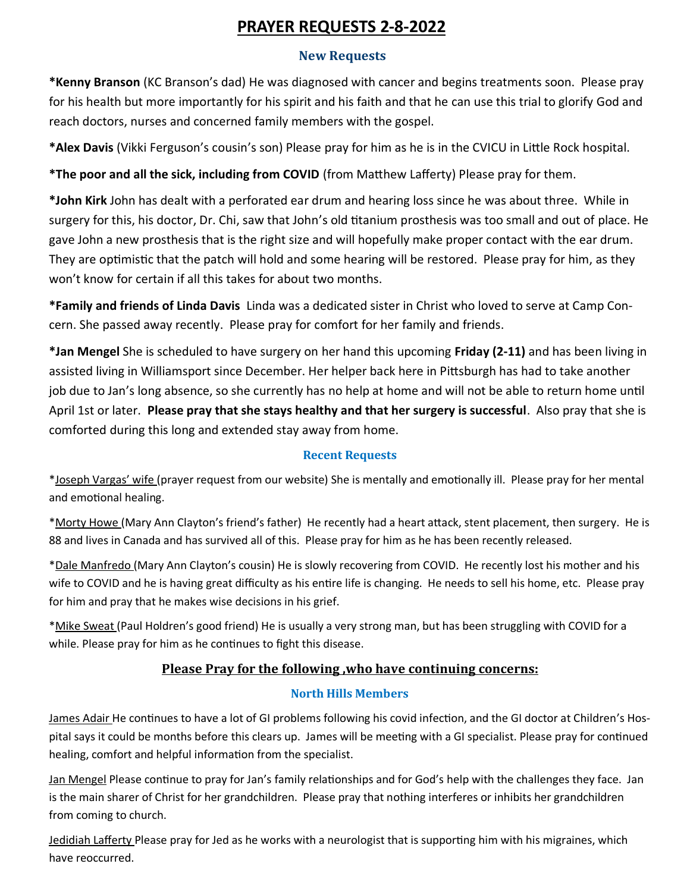# **PRAYER REQUESTS 2-8-2022**

## **New Requests**

**\*Kenny Branson** (KC Branson's dad) He was diagnosed with cancer and begins treatments soon. Please pray for his health but more importantly for his spirit and his faith and that he can use this trial to glorify God and reach doctors, nurses and concerned family members with the gospel.

**\*Alex Davis** (Vikki Ferguson's cousin's son) Please pray for him as he is in the CVICU in Little Rock hospital.

**\*The poor and all the sick, including from COVID** (from Matthew Lafferty) Please pray for them.

**\*John Kirk** John has dealt with a perforated ear drum and hearing loss since he was about three. While in surgery for this, his doctor, Dr. Chi, saw that John's old titanium prosthesis was too small and out of place. He gave John a new prosthesis that is the right size and will hopefully make proper contact with the ear drum. They are optimistic that the patch will hold and some hearing will be restored. Please pray for him, as they won't know for certain if all this takes for about two months.

**\*Family and friends of Linda Davis** Linda was a dedicated sister in Christ who loved to serve at Camp Concern. She passed away recently. Please pray for comfort for her family and friends.

**\*Jan Mengel** She is scheduled to have surgery on her hand this upcoming **Friday (2-11)** and has been living in assisted living in Williamsport since December. Her helper back here in Pittsburgh has had to take another job due to Jan's long absence, so she currently has no help at home and will not be able to return home until April 1st or later. **Please pray that she stays healthy and that her surgery is successful**. Also pray that she is comforted during this long and extended stay away from home.

# **Recent Requests**

\*Joseph Vargas' wife (prayer request from our website) She is mentally and emotionally ill. Please pray for her mental and emotional healing.

\*Morty Howe (Mary Ann Clayton's friend's father) He recently had a heart attack, stent placement, then surgery. He is 88 and lives in Canada and has survived all of this. Please pray for him as he has been recently released.

\*Dale Manfredo (Mary Ann Clayton's cousin) He is slowly recovering from COVID. He recently lost his mother and his wife to COVID and he is having great difficulty as his entire life is changing. He needs to sell his home, etc. Please pray for him and pray that he makes wise decisions in his grief.

\*Mike Sweat (Paul Holdren's good friend) He is usually a very strong man, but has been struggling with COVID for a while. Please pray for him as he continues to fight this disease.

# **Please Pray for the following ,who have continuing concerns:**

### **North Hills Members**

James Adair He continues to have a lot of GI problems following his covid infection, and the GI doctor at Children's Hospital says it could be months before this clears up. James will be meeting with a GI specialist. Please pray for continued healing, comfort and helpful information from the specialist.

Jan Mengel Please continue to pray for Jan's family relationships and for God's help with the challenges they face. Jan is the main sharer of Christ for her grandchildren. Please pray that nothing interferes or inhibits her grandchildren from coming to church.

Jedidiah Lafferty Please pray for Jed as he works with a neurologist that is supporting him with his migraines, which have reoccurred.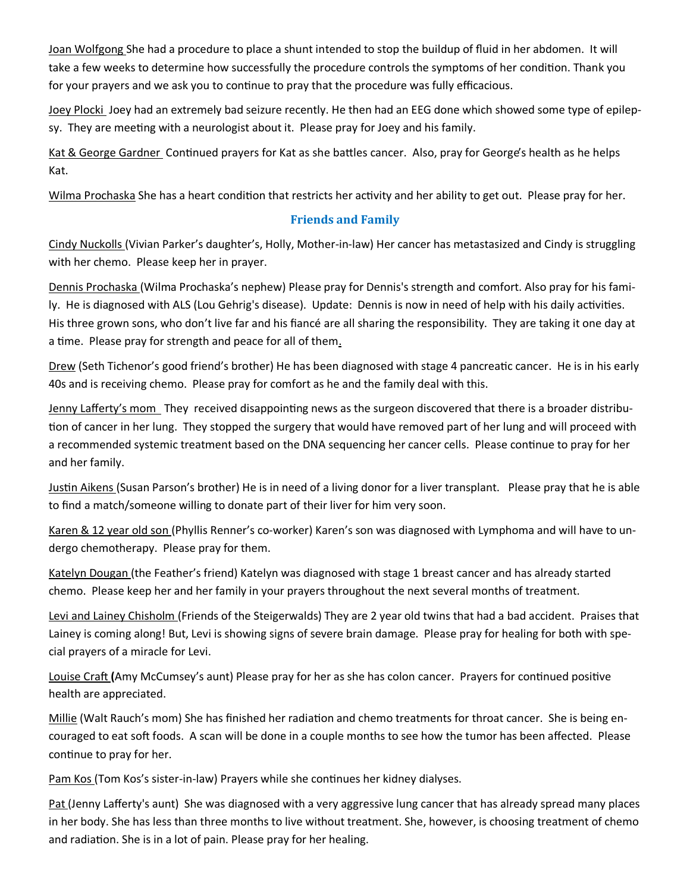Joan Wolfgong She had a procedure to place a shunt intended to stop the buildup of fluid in her abdomen. It will take a few weeks to determine how successfully the procedure controls the symptoms of her condition. Thank you for your prayers and we ask you to continue to pray that the procedure was fully efficacious.

Joey Plocki Joey had an extremely bad seizure recently. He then had an EEG done which showed some type of epilepsy. They are meeting with a neurologist about it. Please pray for Joey and his family.

Kat & George Gardner Continued prayers for Kat as she battles cancer. Also, pray for George's health as he helps Kat.

Wilma Prochaska She has a heart condition that restricts her activity and her ability to get out. Please pray for her.

#### **Friends and Family**

Cindy Nuckolls (Vivian Parker's daughter's, Holly, Mother-in-law) Her cancer has metastasized and Cindy is struggling with her chemo. Please keep her in prayer.

Dennis Prochaska (Wilma Prochaska's nephew) Please pray for Dennis's strength and comfort. Also pray for his family. He is diagnosed with ALS (Lou Gehrig's disease). Update: Dennis is now in need of help with his daily activities. His three grown sons, who don't live far and his fiancé are all sharing the responsibility. They are taking it one day at a time. Please pray for strength and peace for all of them.

Drew (Seth Tichenor's good friend's brother) He has been diagnosed with stage 4 pancreatic cancer. He is in his early 40s and is receiving chemo. Please pray for comfort as he and the family deal with this.

Jenny Lafferty's mom They received disappointing news as the surgeon discovered that there is a broader distribution of cancer in her lung. They stopped the surgery that would have removed part of her lung and will proceed with a recommended systemic treatment based on the DNA sequencing her cancer cells. Please continue to pray for her and her family.

Justin Aikens (Susan Parson's brother) He is in need of a living donor for a liver transplant. Please pray that he is able to find a match/someone willing to donate part of their liver for him very soon.

Karen & 12 year old son (Phyllis Renner's co-worker) Karen's son was diagnosed with Lymphoma and will have to undergo chemotherapy. Please pray for them.

Katelyn Dougan (the Feather's friend) Katelyn was diagnosed with stage 1 breast cancer and has already started chemo. Please keep her and her family in your prayers throughout the next several months of treatment.

Levi and Lainey Chisholm (Friends of the Steigerwalds) They are 2 year old twins that had a bad accident. Praises that Lainey is coming along! But, Levi is showing signs of severe brain damage. Please pray for healing for both with special prayers of a miracle for Levi.

Louise Craft **(**Amy McCumsey's aunt) Please pray for her as she has colon cancer. Prayers for continued positive health are appreciated.

Millie (Walt Rauch's mom) She has finished her radiation and chemo treatments for throat cancer. She is being encouraged to eat soft foods. A scan will be done in a couple months to see how the tumor has been affected. Please continue to pray for her.

Pam Kos (Tom Kos's sister-in-law) Prayers while she continues her kidney dialyses.

Pat (Jenny Lafferty's aunt) She was diagnosed with a very aggressive lung cancer that has already spread many places in her body. She has less than three months to live without treatment. She, however, is choosing treatment of chemo and radiation. She is in a lot of pain. Please pray for her healing.